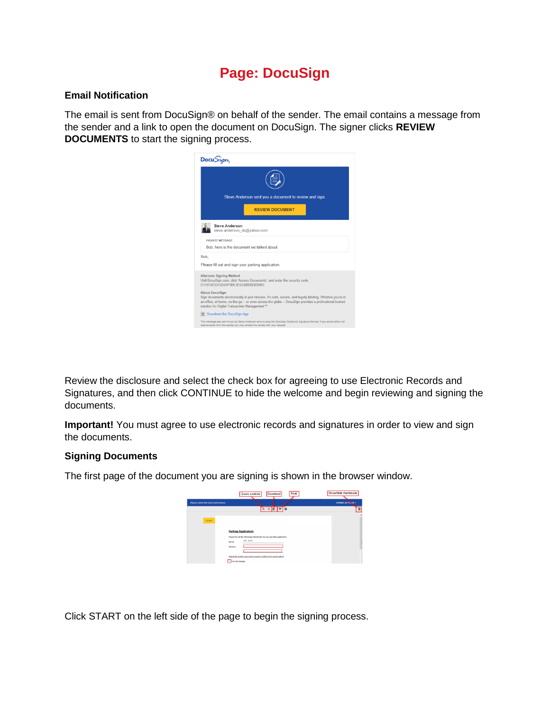# **Page: DocuSign**

## **Email Notification**

The email is sent from DocuSign® on behalf of the sender. The email contains a message from the sender and a link to open the document on DocuSign. The signer clicks **REVIEW DOCUMENTS** to start the signing process.



Review the disclosure and select the check box for agreeing to use Electronic Records and Signatures, and then click CONTINUE to hide the welcome and begin reviewing and signing the documents.

**Important!** You must agree to use electronic records and signatures in order to view and sign the documents.

#### **Signing Documents**

The first page of the document you are signing is shown in the browser window.

|                                    | Download<br>Print<br>Zoom controls                                                                    | Show/hide thumbnails |
|------------------------------------|-------------------------------------------------------------------------------------------------------|----------------------|
| Please review the documents below. |                                                                                                       | OTHER ACTIONS .      |
|                                    | Q Q 0. 0 0                                                                                            | e                    |
| <b>START</b>                       |                                                                                                       |                      |
|                                    | <b>Parking Application</b><br>Please fill out the following information for your parking application. |                      |
|                                    | <b>Bob Stack</b><br>Name:<br>Address:                                                                 |                      |
|                                    | Select the location you want to park at (select only one location);<br>C First Ave Garage             |                      |

Click START on the left side of the page to begin the signing process.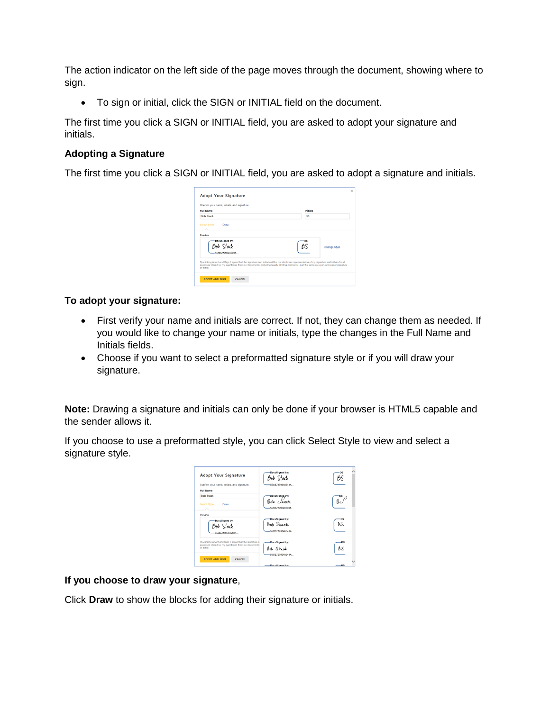The action indicator on the left side of the page moves through the document, showing where to sign.

To sign or initial, click the SIGN or INITIAL field on the document.

The first time you click a SIGN or INITIAL field, you are asked to adopt your signature and initials.

# **Adopting a Signature**

The first time you click a SIGN or INITIAL field, you are asked to adopt a signature and initials.

| Confirm your name, initials, and signature.                                                                                                                                                                                                                                                            |              |
|--------------------------------------------------------------------------------------------------------------------------------------------------------------------------------------------------------------------------------------------------------------------------------------------------------|--------------|
| <b>Full Name</b>                                                                                                                                                                                                                                                                                       | Initials     |
| <b>Bob Stack</b>                                                                                                                                                                                                                                                                                       | <b>BS</b>    |
| Select Style<br>Draw<br>Preview                                                                                                                                                                                                                                                                        |              |
| DocuSigned by:<br>Bob Stack<br><b>SSCR7270248543A</b>                                                                                                                                                                                                                                                  | Change Style |
| By clicking Adopt and Sign, I agree that the signature and initials will be the electronic representation of my signature and initials for all<br>purposes when I (or my agent) use them on documents, including legally binding contracts - just the same as a pen-and-paper signature<br>or initial. |              |

# **To adopt your signature:**

- First verify your name and initials are correct. If not, they can change them as needed. If you would like to change your name or initials, type the changes in the Full Name and Initials fields.
- Choose if you want to select a preformatted signature style or if you will draw your signature.

**Note:** Drawing a signature and initials can only be done if your browser is HTML5 capable and the sender allows it.

If you choose to use a preformatted style, you can click Select Style to view and select a signature style.

| <b>Adopt Your Signature</b>                                                                                                    | DocuSigned by:<br>Bob Stack                           |            |
|--------------------------------------------------------------------------------------------------------------------------------|-------------------------------------------------------|------------|
| Confirm your name, initials, and signature.                                                                                    | -55CB7279248543A                                      |            |
| <b>Full Name</b>                                                                                                               |                                                       |            |
| <b>Bob Stack</b>                                                                                                               | DocuSigned by:                                        |            |
| Select Style<br>Draw                                                                                                           | Rola <i>Stack</i><br>55CB7279248543A                  |            |
| Preview                                                                                                                        |                                                       |            |
| <b>DocuSigned by:</b><br>Bob Stack<br><b>SSCR7279248543A</b>                                                                   | <b>DocuSigned by:</b><br>Bob Stack<br>55CB7279248543A | B.S        |
| By clicking Adopt and Sign. I agree that the signature a<br>purposes when I (or my agent) use them on documents<br>or initial. | <b>DocuSigned by:</b><br>$84.5 + c$                   | · DS<br>BS |
| <b>ADOPT AND SIGN</b><br><b>CANCEL</b>                                                                                         | -55CB7279248543A<br>- DocuSinned by:                  | $-09$      |

# **If you choose to draw your signature**,

Click **Draw** to show the blocks for adding their signature or initials.